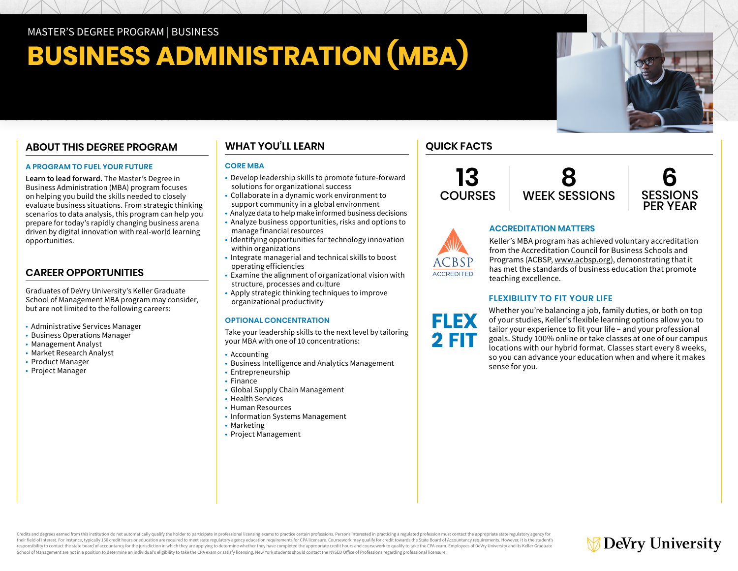MASTER'S DEGREE PROGRAM | BUSINESS

# **BUSINESS ADMINISTRATION (MBA)**

## **ABOUT THIS DEGREE PROGRAM**

### **A PROGRAM TO FUEL YOUR FUTURE**

**Learn to lead forward.** The Master's Degree in Business Administration (MBA) program focuses on helping you build the skills needed to closely evaluate business situations. From strategic thinking scenarios to data analysis, this program can help you prepare for today's rapidly changing business arena driven by digital innovation with real-world learning opportunities.

## **CAREER OPPORTUNITIES**

Graduates of DeVry University's Keller Graduate School of Management MBA program may consider, but are not limited to the following careers:

- Administrative Services Manager
- Business Operations Manager
- Management Analyst
- Market Research Analyst
- Product Manager
- Project Manager

## **WHAT YOU'LL LEARN**

### **CORE MBA**

- Develop leadership skills to promote future-forward solutions for organizational success
- Collaborate in a dynamic work environment to support community in a global environment
- Analyze data to help make informed business decisions
- Analyze business opportunities, risks and options to manage financial resources
- Identifying opportunities for technology innovation within organizations
- Integrate managerial and technical skills to boost operating efficiencies
- Examine the alignment of organizational vision with structure, processes and culture
- Apply strategic thinking techniques to improve organizational productivity

## **OPTIONAL CONCENTRATION**

Take your leadership skills to the next level by tailoring your MBA with one of 10 concentrations:

- Accounting
- Business Intelligence and Analytics Management
- Entrepreneurship
- Finance
- Global Supply Chain Management
- Health Services
- Human Resources
- Information Systems Management
- Marketing
- Project Management

## **QUICK FACTS**

**13 COURSES** 

**ACCREDITED** 

**FLEX 2 FIT** 





## **ACCREDITATION MATTERS**

Keller's MBA program has achieved voluntary accreditation from the Accreditation Council for Business Schools and Programs (ACBSP, [www.acbsp.org](https://www.acbsp.org)), demonstrating that it has met the standards of business education that promote teaching excellence.

## **FLEXIBILITY TO FIT YOUR LIFE**

Whether you're balancing a job, family duties, or both on top of your studies, Keller's flexible learning options allow you to tailor your experience to fit your life – and your professional goals. Study 100% online or take classes at one of our campus locations with our hybrid format. Classes start every 8 weeks, so you can advance your education when and where it makes sense for you.

Credits and degrees earned from this institution do not automatically qualify the holder to participate in professional licensing exams to practice certain professions. Persons interested in practicing a regulated professi their field of interest. For instance, typically 150 credit hours or education are required to meet state regulatory agency education requirements for CPA licensure. Coursework may qualify for credit towards the State Boar responsibility to contact the state board of accountancy for the jurisdiction in which they are applying to determine whether they have completed the appropriate credit hours and coursework to qualify to take the CPA exam. School of Management are not in a position to determine an individual's eligibility to take the CPA exam or satisfy licensing. New York students should contact the NYSED Office of Professions regarding professional licensu